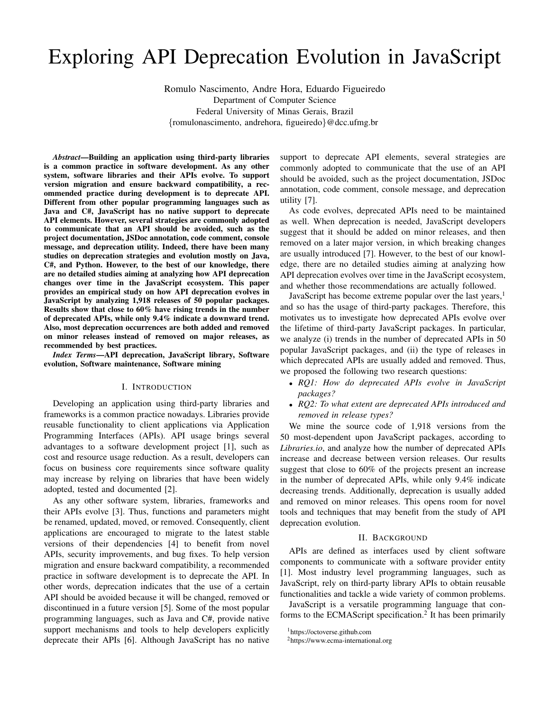# Exploring API Deprecation Evolution in JavaScript

Romulo Nascimento, Andre Hora, Eduardo Figueiredo Department of Computer Science Federal University of Minas Gerais, Brazil {romulonascimento, andrehora, figueiredo}@dcc.ufmg.br

*Abstract*—Building an application using third-party libraries is a common practice in software development. As any other system, software libraries and their APIs evolve. To support version migration and ensure backward compatibility, a recommended practice during development is to deprecate API. Different from other popular programming languages such as Java and C#, JavaScript has no native support to deprecate API elements. However, several strategies are commonly adopted to communicate that an API should be avoided, such as the project documentation, JSDoc annotation, code comment, console message, and deprecation utility. Indeed, there have been many studies on deprecation strategies and evolution mostly on Java, C#, and Python. However, to the best of our knowledge, there are no detailed studies aiming at analyzing how API deprecation changes over time in the JavaScript ecosystem. This paper provides an empirical study on how API deprecation evolves in JavaScript by analyzing 1,918 releases of 50 popular packages. Results show that close to 60% have rising trends in the number of deprecated APIs, while only 9.4% indicate a downward trend. Also, most deprecation occurrences are both added and removed on minor releases instead of removed on major releases, as recommended by best practices.

*Index Terms*—API deprecation, JavaScript library, Software evolution, Software maintenance, Software mining

## I. INTRODUCTION

Developing an application using third-party libraries and frameworks is a common practice nowadays. Libraries provide reusable functionality to client applications via Application Programming Interfaces (APIs). API usage brings several advantages to a software development project [1], such as cost and resource usage reduction. As a result, developers can focus on business core requirements since software quality may increase by relying on libraries that have been widely adopted, tested and documented [2].

As any other software system, libraries, frameworks and their APIs evolve [3]. Thus, functions and parameters might be renamed, updated, moved, or removed. Consequently, client applications are encouraged to migrate to the latest stable versions of their dependencies [4] to benefit from novel APIs, security improvements, and bug fixes. To help version migration and ensure backward compatibility, a recommended practice in software development is to deprecate the API. In other words, deprecation indicates that the use of a certain API should be avoided because it will be changed, removed or discontinued in a future version [5]. Some of the most popular programming languages, such as Java and C#, provide native support mechanisms and tools to help developers explicitly deprecate their APIs [6]. Although JavaScript has no native

support to deprecate API elements, several strategies are commonly adopted to communicate that the use of an API should be avoided, such as the project documentation, JSDoc annotation, code comment, console message, and deprecation utility [7].

As code evolves, deprecated APIs need to be maintained as well. When deprecation is needed, JavaScript developers suggest that it should be added on minor releases, and then removed on a later major version, in which breaking changes are usually introduced [7]. However, to the best of our knowledge, there are no detailed studies aiming at analyzing how API deprecation evolves over time in the JavaScript ecosystem, and whether those recommendations are actually followed.

JavaScript has become extreme popular over the last years, $<sup>1</sup>$ </sup> and so has the usage of third-party packages. Therefore, this motivates us to investigate how deprecated APIs evolve over the lifetime of third-party JavaScript packages. In particular, we analyze (i) trends in the number of deprecated APIs in 50 popular JavaScript packages, and (ii) the type of releases in which deprecated APIs are usually added and removed. Thus, we proposed the following two research questions:

- *RQ1: How do deprecated APIs evolve in JavaScript packages?*
- *RQ2: To what extent are deprecated APIs introduced and removed in release types?*

We mine the source code of 1,918 versions from the 50 most-dependent upon JavaScript packages, according to *Libraries.io*, and analyze how the number of deprecated APIs increase and decrease between version releases. Our results suggest that close to 60% of the projects present an increase in the number of deprecated APIs, while only 9.4% indicate decreasing trends. Additionally, deprecation is usually added and removed on minor releases. This opens room for novel tools and techniques that may benefit from the study of API deprecation evolution.

## II. BACKGROUND

APIs are defined as interfaces used by client software components to communicate with a software provider entity [1]. Most industry level programming languages, such as JavaScript, rely on third-party library APIs to obtain reusable functionalities and tackle a wide variety of common problems.

JavaScript is a versatile programming language that conforms to the ECMAScript specification.<sup>2</sup> It has been primarily

<sup>1</sup>https://octoverse.github.com

<sup>2</sup>https://www.ecma-international.org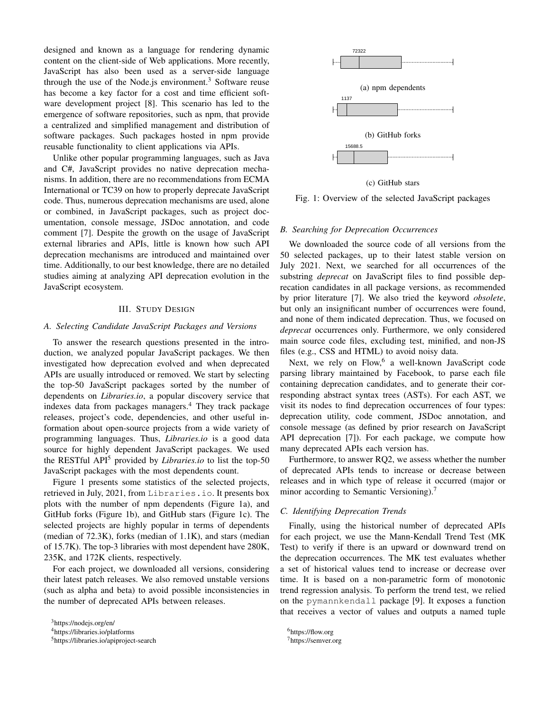designed and known as a language for rendering dynamic content on the client-side of Web applications. More recently, JavaScript has also been used as a server-side language through the use of the Node.js environment. $3$  Software reuse has become a key factor for a cost and time efficient software development project [8]. This scenario has led to the emergence of software repositories, such as npm, that provide a centralized and simplified management and distribution of software packages. Such packages hosted in npm provide reusable functionality to client applications via APIs.

Unlike other popular programming languages, such as Java and C#, JavaScript provides no native deprecation mechanisms. In addition, there are no recommendations from ECMA International or TC39 on how to properly deprecate JavaScript code. Thus, numerous deprecation mechanisms are used, alone or combined, in JavaScript packages, such as project documentation, console message, JSDoc annotation, and code comment [7]. Despite the growth on the usage of JavaScript external libraries and APIs, little is known how such API deprecation mechanisms are introduced and maintained over time. Additionally, to our best knowledge, there are no detailed studies aiming at analyzing API deprecation evolution in the JavaScript ecosystem.

## III. STUDY DESIGN

### *A. Selecting Candidate JavaScript Packages and Versions*

To answer the research questions presented in the introduction, we analyzed popular JavaScript packages. We then investigated how deprecation evolved and when deprecated APIs are usually introduced or removed. We start by selecting the top-50 JavaScript packages sorted by the number of dependents on *Libraries.io*, a popular discovery service that indexes data from packages managers.<sup>4</sup> They track package releases, project's code, dependencies, and other useful information about open-source projects from a wide variety of programming languages. Thus, *Libraries.io* is a good data source for highly dependent JavaScript packages. We used the RESTful API<sup>5</sup> provided by *Libraries.io* to list the top-50 JavaScript packages with the most dependents count.

Figure 1 presents some statistics of the selected projects, retrieved in July, 2021, from Libraries.io. It presents box plots with the number of npm dependents (Figure 1a), and GitHub forks (Figure 1b), and GitHub stars (Figure 1c). The selected projects are highly popular in terms of dependents (median of 72.3K), forks (median of 1.1K), and stars (median of 15.7K). The top-3 libraries with most dependent have 280K, 235K, and 172K clients, respectively.

For each project, we downloaded all versions, considering their latest patch releases. We also removed unstable versions (such as alpha and beta) to avoid possible inconsistencies in the number of deprecated APIs between releases.



(c) GitHub stars

Fig. 1: Overview of the selected JavaScript packages

#### *B. Searching for Deprecation Occurrences*

We downloaded the source code of all versions from the 50 selected packages, up to their latest stable version on July 2021. Next, we searched for all occurrences of the substring *deprecat* on JavaScript files to find possible deprecation candidates in all package versions, as recommended by prior literature [7]. We also tried the keyword *obsolete*, but only an insignificant number of occurrences were found, and none of them indicated deprecation. Thus, we focused on *deprecat* occurrences only. Furthermore, we only considered main source code files, excluding test, minified, and non-JS files (e.g., CSS and HTML) to avoid noisy data.

Next, we rely on Flow,<sup>6</sup> a well-known JavaScript code parsing library maintained by Facebook, to parse each file containing deprecation candidates, and to generate their corresponding abstract syntax trees (ASTs). For each AST, we visit its nodes to find deprecation occurrences of four types: deprecation utility, code comment, JSDoc annotation, and console message (as defined by prior research on JavaScript API deprecation [7]). For each package, we compute how many deprecated APIs each version has.

Furthermore, to answer RQ2, we assess whether the number of deprecated APIs tends to increase or decrease between releases and in which type of release it occurred (major or minor according to Semantic Versioning).<sup>7</sup>

## *C. Identifying Deprecation Trends*

Finally, using the historical number of deprecated APIs for each project, we use the Mann-Kendall Trend Test (MK Test) to verify if there is an upward or downward trend on the deprecation occurrences. The MK test evaluates whether a set of historical values tend to increase or decrease over time. It is based on a non-parametric form of monotonic trend regression analysis. To perform the trend test, we relied on the pymannkendall package [9]. It exposes a function that receives a vector of values and outputs a named tuple

<sup>3</sup>https://nodejs.org/en/

<sup>4</sup>https://libraries.io/platforms

<sup>5</sup>https://libraries.io/apiproject-search

<sup>6</sup>https://flow.org <sup>7</sup>https://semver.org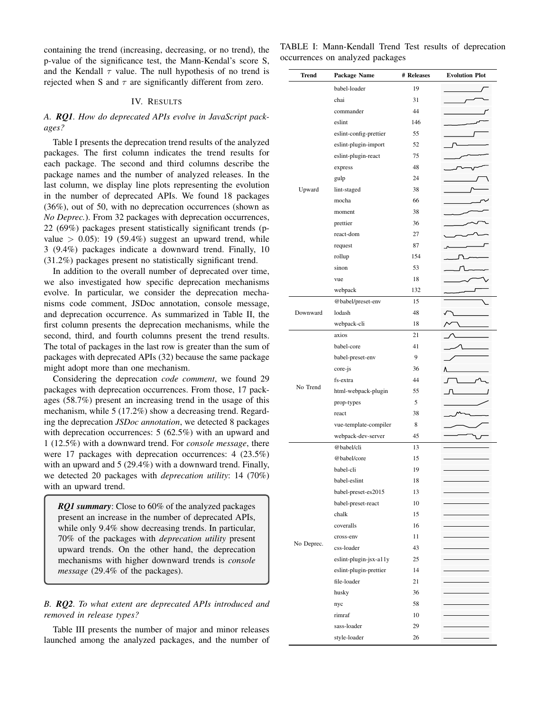containing the trend (increasing, decreasing, or no trend), the p-value of the significance test, the Mann-Kendal's score S, and the Kendall  $\tau$  value. The null hypothesis of no trend is rejected when S and  $\tau$  are significantly different from zero.

## IV. RESULTS

# *A. RQ1. How do deprecated APIs evolve in JavaScript packages?*

Table I presents the deprecation trend results of the analyzed packages. The first column indicates the trend results for each package. The second and third columns describe the package names and the number of analyzed releases. In the last column, we display line plots representing the evolution in the number of deprecated APIs. We found 18 packages (36%), out of 50, with no deprecation occurrences (shown as *No Deprec.*). From 32 packages with deprecation occurrences, 22 (69%) packages present statistically significant trends (pvalue  $> 0.05$ : 19 (59.4%) suggest an upward trend, while 3 (9.4%) packages indicate a downward trend. Finally, 10 (31.2%) packages present no statistically significant trend.

In addition to the overall number of deprecated over time, we also investigated how specific deprecation mechanisms evolve. In particular, we consider the deprecation mechanisms code comment, JSDoc annotation, console message, and deprecation occurrence. As summarized in Table II, the first column presents the deprecation mechanisms, while the second, third, and fourth columns present the trend results. The total of packages in the last row is greater than the sum of packages with deprecated APIs (32) because the same package might adopt more than one mechanism.

Considering the deprecation *code comment*, we found 29 packages with deprecation occurrences. From those, 17 packages (58.7%) present an increasing trend in the usage of this mechanism, while 5 (17.2%) show a decreasing trend. Regarding the deprecation *JSDoc annotation*, we detected 8 packages with deprecation occurrences: 5 (62.5%) with an upward and 1 (12.5%) with a downward trend. For *console message*, there were 17 packages with deprecation occurrences: 4 (23.5%) with an upward and 5 (29.4%) with a downward trend. Finally, we detected 20 packages with *deprecation utility*: 14 (70%) with an upward trend.

*RQ1 summary*: Close to 60% of the analyzed packages present an increase in the number of deprecated APIs, while only 9.4% show decreasing trends. In particular, 70% of the packages with *deprecation utility* present upward trends. On the other hand, the deprecation mechanisms with higher downward trends is *console message* (29.4% of the packages).

# *B. RQ2. To what extent are deprecated APIs introduced and removed in release types?*

Table III presents the number of major and minor releases launched among the analyzed packages, and the number of

TABLE I: Mann-Kendall Trend Test results of deprecation occurrences on analyzed packages

| babel-loader<br>19<br>31<br>chai<br>44<br>commander<br>eslint<br>146<br>eslint-config-prettier<br>55<br>eslint-plugin-import<br>52<br>eslint-plugin-react<br>75<br>48<br>express<br>24 |
|----------------------------------------------------------------------------------------------------------------------------------------------------------------------------------------|
|                                                                                                                                                                                        |
|                                                                                                                                                                                        |
|                                                                                                                                                                                        |
|                                                                                                                                                                                        |
|                                                                                                                                                                                        |
|                                                                                                                                                                                        |
|                                                                                                                                                                                        |
|                                                                                                                                                                                        |
| gulp                                                                                                                                                                                   |
| Upward<br>lint-staged<br>38                                                                                                                                                            |
| mocha<br>66                                                                                                                                                                            |
| 38<br>moment                                                                                                                                                                           |
| 36<br>prettier                                                                                                                                                                         |
| react-dom<br>27                                                                                                                                                                        |
| 87<br>request                                                                                                                                                                          |
| rollup<br>154                                                                                                                                                                          |
| sinon<br>53                                                                                                                                                                            |
| 18<br>vue                                                                                                                                                                              |
| webpack<br>132                                                                                                                                                                         |
| @babel/preset-env<br>15                                                                                                                                                                |
| Downward<br>lodash<br>48                                                                                                                                                               |
| webpack-cli<br>18                                                                                                                                                                      |
| axios<br>21                                                                                                                                                                            |
| babel-core<br>41                                                                                                                                                                       |
| 9<br>babel-preset-env                                                                                                                                                                  |
| 36<br>core-js                                                                                                                                                                          |
| 44<br>fs-extra                                                                                                                                                                         |
| No Trend<br>html-webpack-plugin<br>55                                                                                                                                                  |
| 5<br>prop-types                                                                                                                                                                        |
| 38<br>react                                                                                                                                                                            |
| 8<br>vue-template-compiler                                                                                                                                                             |
| webpack-dev-server<br>45                                                                                                                                                               |
| @babel/cli<br>13                                                                                                                                                                       |
| @babel/core<br>15                                                                                                                                                                      |
| babel-cli<br>19                                                                                                                                                                        |
| babel-eslint<br>18                                                                                                                                                                     |
| babel-preset-es2015<br>13                                                                                                                                                              |
| babel-preset-react<br>10                                                                                                                                                               |
| chalk<br>15                                                                                                                                                                            |
| 16<br>coveralls                                                                                                                                                                        |
| cross-env<br>11                                                                                                                                                                        |
| No Deprec.<br>43<br>css-loader                                                                                                                                                         |
| eslint-plugin-jsx-a11y<br>25                                                                                                                                                           |
| eslint-plugin-prettier<br>14                                                                                                                                                           |
| file-loader<br>21                                                                                                                                                                      |
| husky<br>36                                                                                                                                                                            |
| 58<br>nyc                                                                                                                                                                              |
| rimraf<br>10                                                                                                                                                                           |
| sass-loader<br>29                                                                                                                                                                      |
| style-loader<br>26                                                                                                                                                                     |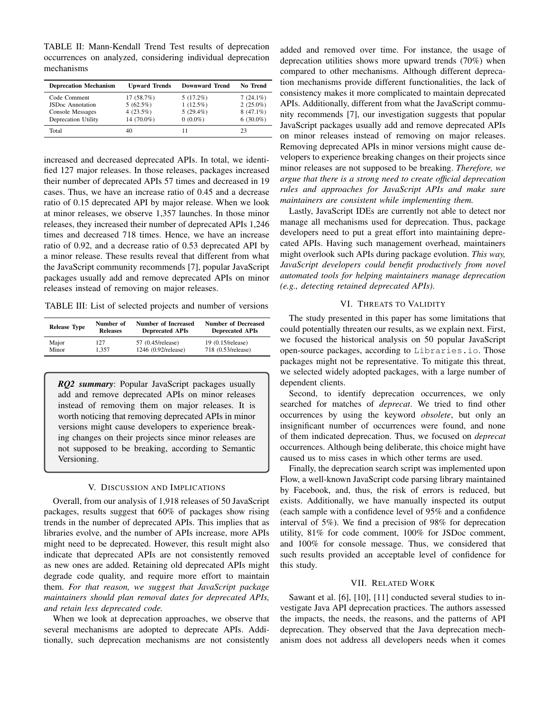TABLE II: Mann-Kendall Trend Test results of deprecation occurrences on analyzed, considering individual deprecation mechanisms

| <b>Deprecation Mechanism</b>                   | <b>Upward Trends</b>     | <b>Downward Trend</b>      | <b>No Trend</b>            |
|------------------------------------------------|--------------------------|----------------------------|----------------------------|
| Code Comment                                   | 17(58.7%)                | $5(17.2\%)$                | $7(24.1\%)$                |
| <b>JSDoc</b> Annotation                        | 5(62.5%)<br>4 $(23.5\%)$ | $1(12.5\%)$<br>$5(29.4\%)$ | $2(25.0\%)$<br>$8(47.1\%)$ |
| Console Messages<br><b>Deprecation Utility</b> | 14 (70.0%)               | $0(0.0\%)$                 | $6(30.0\%)$                |
| Total                                          | 40                       | 11                         | 23                         |

increased and decreased deprecated APIs. In total, we identified 127 major releases. In those releases, packages increased their number of deprecated APIs 57 times and decreased in 19 cases. Thus, we have an increase ratio of 0.45 and a decrease ratio of 0.15 deprecated API by major release. When we look at minor releases, we observe 1,357 launches. In those minor releases, they increased their number of deprecated APIs 1,246 times and decreased 718 times. Hence, we have an increase ratio of 0.92, and a decrease ratio of 0.53 deprecated API by a minor release. These results reveal that different from what the JavaScript community recommends [7], popular JavaScript packages usually add and remove deprecated APIs on minor releases instead of removing on major releases.

TABLE III: List of selected projects and number of versions

| <b>Release Type</b> | Number of       | <b>Number of Increased</b> | <b>Number of Decreased</b> |
|---------------------|-----------------|----------------------------|----------------------------|
|                     | <b>Releases</b> | <b>Deprecated APIs</b>     | <b>Deprecated APIs</b>     |
| Major               | 127             | 57 (0.45/release)          | $19(0.15/\text{release})$  |
| Minor               | 1.357           | 1246 (0.92/release)        | 718 (0.53/release)         |

*RQ2 summary*: Popular JavaScript packages usually add and remove deprecated APIs on minor releases instead of removing them on major releases. It is worth noticing that removing deprecated APIs in minor versions might cause developers to experience breaking changes on their projects since minor releases are not supposed to be breaking, according to Semantic Versioning.

## V. DISCUSSION AND IMPLICATIONS

Overall, from our analysis of 1,918 releases of 50 JavaScript packages, results suggest that 60% of packages show rising trends in the number of deprecated APIs. This implies that as libraries evolve, and the number of APIs increase, more APIs might need to be deprecated. However, this result might also indicate that deprecated APIs are not consistently removed as new ones are added. Retaining old deprecated APIs might degrade code quality, and require more effort to maintain them. *For that reason, we suggest that JavaScript package maintainers should plan removal dates for deprecated APIs, and retain less deprecated code.*

When we look at deprecation approaches, we observe that several mechanisms are adopted to deprecate APIs. Additionally, such deprecation mechanisms are not consistently

added and removed over time. For instance, the usage of deprecation utilities shows more upward trends (70%) when compared to other mechanisms. Although different deprecation mechanisms provide different functionalities, the lack of consistency makes it more complicated to maintain deprecated APIs. Additionally, different from what the JavaScript community recommends [7], our investigation suggests that popular JavaScript packages usually add and remove deprecated APIs on minor releases instead of removing on major releases. Removing deprecated APIs in minor versions might cause developers to experience breaking changes on their projects since minor releases are not supposed to be breaking. *Therefore, we argue that there is a strong need to create official deprecation rules and approaches for JavaScript APIs and make sure maintainers are consistent while implementing them.*

Lastly, JavaScript IDEs are currently not able to detect nor manage all mechanisms used for deprecation. Thus, package developers need to put a great effort into maintaining deprecated APIs. Having such management overhead, maintainers might overlook such APIs during package evolution. *This way, JavaScript developers could benefit productively from novel automated tools for helping maintainers manage deprecation (e.g., detecting retained deprecated APIs)*.

## VI. THREATS TO VALIDITY

The study presented in this paper has some limitations that could potentially threaten our results, as we explain next. First, we focused the historical analysis on 50 popular JavaScript open-source packages, according to Libraries.io. Those packages might not be representative. To mitigate this threat, we selected widely adopted packages, with a large number of dependent clients.

Second, to identify deprecation occurrences, we only searched for matches of *deprecat*. We tried to find other occurrences by using the keyword *obsolete*, but only an insignificant number of occurrences were found, and none of them indicated deprecation. Thus, we focused on *deprecat* occurrences. Although being deliberate, this choice might have caused us to miss cases in which other terms are used.

Finally, the deprecation search script was implemented upon Flow, a well-known JavaScript code parsing library maintained by Facebook, and, thus, the risk of errors is reduced, but exists. Additionally, we have manually inspected its output (each sample with a confidence level of 95% and a confidence interval of 5%). We find a precision of 98% for deprecation utility, 81% for code comment, 100% for JSDoc comment, and 100% for console message. Thus, we considered that such results provided an acceptable level of confidence for this study.

## VII. RELATED WORK

Sawant et al. [6], [10], [11] conducted several studies to investigate Java API deprecation practices. The authors assessed the impacts, the needs, the reasons, and the patterns of API deprecation. They observed that the Java deprecation mechanism does not address all developers needs when it comes